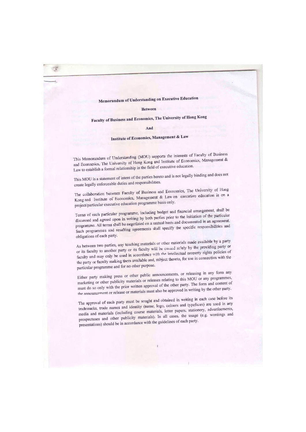Memorandum of Understanding on Executive Education

## **Between**

## Faculty of Business and Economics, The University of Hong Kong

## And

## Institute of Economics, Management & Law

This Memorandum of Understanding (MOU) supports the interests of Faculty of Business and Economics, The University of Hong Kong and Institute of Economics, Management & Law to establish a formal relationship in the field of executive education.

This MOU is a statement of intent of the parties hereto and is not legally binding and does not create legally enforceable duties and responsibilities.

The collaboration between Faculty of Business and Economics, The University of Hong Kong and Institute of Economics, Management & Law on executive education is on a project/particular executive education programme basis only.

Terms of each particular programme, including budget and financial arrangement, shall be discussed and agreed upon in writing by both parties prior to the initiation of the particular programme. All terms shall be negotiated on a mutual basis and documented in an agreement. Such programmes and resulting agreements shall specify the specific responsibilities and obligations of each party.

As between two parties, any teaching materials or other materials made available by a party or its faculty to another party or its faculty will be owned solely by the providing party or faculty and may only be used in accordance with the intellectual property rights policies of the party or faculty making them available and, subject thereto, for use in connection with the particular programme and for no other purpose.

Either party making press or other public announcements, or releasing in any form any marketing or other publicity materials or releases relating to this MOU or any programmes, must do so only with the prior written approval of the other party. The form and content of the announcement or release or materials must also be approved in writing by the other party.

The approval of each party must be sought and obtained in writing in each case before its trademarks, trade names and identity (name, logo, colours and typefaces) are used in any media and materials (including course materials, letter papers, stationery, advertisements, prospectuses and other publicity materials). In all cases, the usage (e.g. wordings and presentations) should be in accordance with the guidelines of each party.